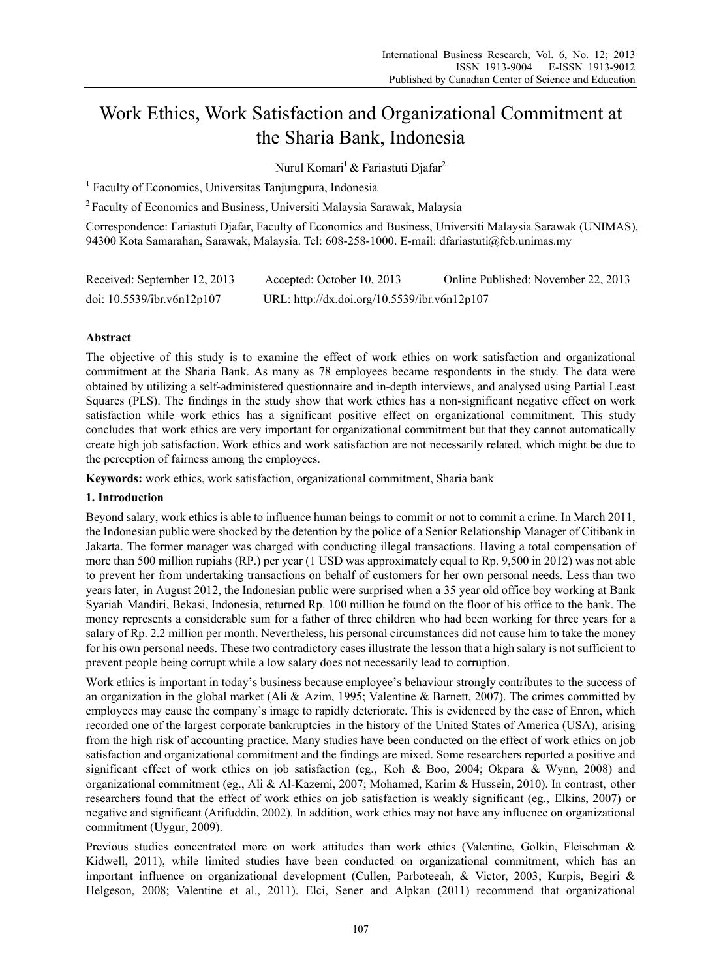# Work Ethics, Work Satisfaction and Organizational Commitment at the Sharia Bank, Indonesia

Nurul Komari<sup>1</sup> & Fariastuti Djafar<sup>2</sup>

<sup>1</sup> Faculty of Economics, Universitas Tanjungpura, Indonesia

2 Faculty of Economics and Business, Universiti Malaysia Sarawak, Malaysia

Correspondence: Fariastuti Djafar, Faculty of Economics and Business, Universiti Malaysia Sarawak (UNIMAS), 94300 Kota Samarahan, Sarawak, Malaysia. Tel: 608-258-1000. E-mail: dfariastuti@feb.unimas.my

| Received: September 12, 2013  | Accepted: October 10, 2013                   | Online Published: November 22, 2013 |
|-------------------------------|----------------------------------------------|-------------------------------------|
| doi: $10.5539$ /ibr.v6n12p107 | URL: http://dx.doi.org/10.5539/ibr.v6n12p107 |                                     |

# **Abstract**

The objective of this study is to examine the effect of work ethics on work satisfaction and organizational commitment at the Sharia Bank. As many as 78 employees became respondents in the study. The data were obtained by utilizing a self-administered questionnaire and in-depth interviews, and analysed using Partial Least Squares (PLS). The findings in the study show that work ethics has a non-significant negative effect on work satisfaction while work ethics has a significant positive effect on organizational commitment. This study concludes that work ethics are very important for organizational commitment but that they cannot automatically create high job satisfaction. Work ethics and work satisfaction are not necessarily related, which might be due to the perception of fairness among the employees.

**Keywords:** work ethics, work satisfaction, organizational commitment, Sharia bank

# **1. Introduction**

Beyond salary, work ethics is able to influence human beings to commit or not to commit a crime. In March 2011, the Indonesian public were shocked by the detention by the police of a Senior Relationship Manager of Citibank in Jakarta. The former manager was charged with conducting illegal transactions. Having a total compensation of more than 500 million rupiahs (RP.) per year (1 USD was approximately equal to Rp. 9,500 in 2012) was not able to prevent her from undertaking transactions on behalf of customers for her own personal needs. Less than two years later, in August 2012, the Indonesian public were surprised when a 35 year old office boy working at Bank Syariah Mandiri, Bekasi, Indonesia, returned Rp. 100 million he found on the floor of his office to the bank. The money represents a considerable sum for a father of three children who had been working for three years for a salary of Rp. 2.2 million per month. Nevertheless, his personal circumstances did not cause him to take the money for his own personal needs. These two contradictory cases illustrate the lesson that a high salary is not sufficient to prevent people being corrupt while a low salary does not necessarily lead to corruption.

Work ethics is important in today's business because employee's behaviour strongly contributes to the success of an organization in the global market (Ali & Azim, 1995; Valentine & Barnett, 2007). The crimes committed by employees may cause the company's image to rapidly deteriorate. This is evidenced by the case of Enron, which recorded one of the largest corporate bankruptcies in the history of the United States of America (USA), arising from the high risk of accounting practice. Many studies have been conducted on the effect of work ethics on job satisfaction and organizational commitment and the findings are mixed. Some researchers reported a positive and significant effect of work ethics on job satisfaction (eg., Koh & Boo, 2004; Okpara & Wynn, 2008) and organizational commitment (eg., Ali & Al-Kazemi, 2007; Mohamed, Karim & Hussein, 2010). In contrast, other researchers found that the effect of work ethics on job satisfaction is weakly significant (eg., Elkins, 2007) or negative and significant (Arifuddin, 2002). In addition, work ethics may not have any influence on organizational commitment (Uygur, 2009).

Previous studies concentrated more on work attitudes than work ethics (Valentine, Golkin, Fleischman & Kidwell, 2011), while limited studies have been conducted on organizational commitment, which has an important influence on organizational development (Cullen, Parboteeah, & Victor, 2003; Kurpis, Begiri & Helgeson, 2008; Valentine et al., 2011). Elci, Sener and Alpkan (2011) recommend that organizational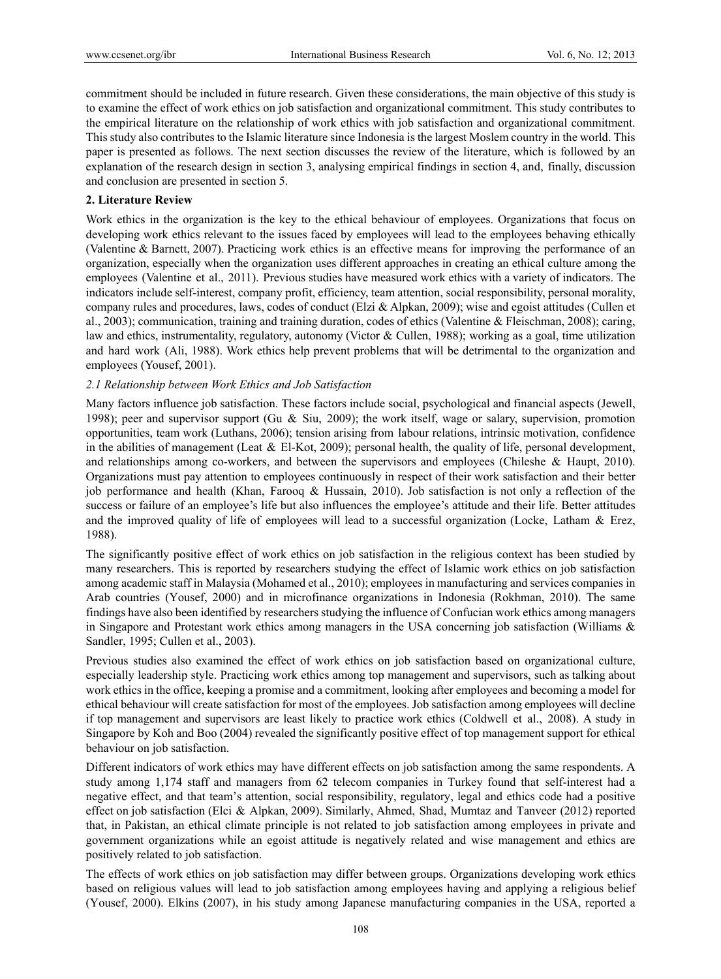commitment should be included in future research. Given these considerations, the main objective of this study is to examine the effect of work ethics on job satisfaction and organizational commitment. This study contributes to the empirical literature on the relationship of work ethics with job satisfaction and organizational commitment. This study also contributes to the Islamic literature since Indonesia is the largest Moslem country in the world. This paper is presented as follows. The next section discusses the review of the literature, which is followed by an explanation of the research design in section 3, analysing empirical findings in section 4, and, finally, discussion and conclusion are presented in section 5.

### **2. Literature Review**

Work ethics in the organization is the key to the ethical behaviour of employees. Organizations that focus on developing work ethics relevant to the issues faced by employees will lead to the employees behaving ethically (Valentine & Barnett, 2007). Practicing work ethics is an effective means for improving the performance of an organization, especially when the organization uses different approaches in creating an ethical culture among the employees (Valentine et al., 2011). Previous studies have measured work ethics with a variety of indicators. The indicators include self-interest, company profit, efficiency, team attention, social responsibility, personal morality, company rules and procedures, laws, codes of conduct (Elzi & Alpkan, 2009); wise and egoist attitudes (Cullen et al., 2003); communication, training and training duration, codes of ethics (Valentine & Fleischman, 2008); caring, law and ethics, instrumentality, regulatory, autonomy (Victor & Cullen, 1988); working as a goal, time utilization and hard work (Ali, 1988). Work ethics help prevent problems that will be detrimental to the organization and employees (Yousef, 2001).

# *2.1 Relationship between Work Ethics and Job Satisfaction*

Many factors influence job satisfaction. These factors include social, psychological and financial aspects (Jewell, 1998); peer and supervisor support (Gu & Siu, 2009); the work itself, wage or salary, supervision, promotion opportunities, team work (Luthans, 2006); tension arising from labour relations, intrinsic motivation, confidence in the abilities of management (Leat  $&$  El-Kot, 2009); personal health, the quality of life, personal development, and relationships among co-workers, and between the supervisors and employees (Chileshe & Haupt, 2010). Organizations must pay attention to employees continuously in respect of their work satisfaction and their better job performance and health (Khan, Farooq & Hussain, 2010). Job satisfaction is not only a reflection of the success or failure of an employee's life but also influences the employee's attitude and their life. Better attitudes and the improved quality of life of employees will lead to a successful organization (Locke, Latham & Erez, 1988).

The significantly positive effect of work ethics on job satisfaction in the religious context has been studied by many researchers. This is reported by researchers studying the effect of Islamic work ethics on job satisfaction among academic staff in Malaysia (Mohamed et al., 2010); employees in manufacturing and services companies in Arab countries (Yousef, 2000) and in microfinance organizations in Indonesia (Rokhman, 2010). The same findings have also been identified by researchers studying the influence of Confucian work ethics among managers in Singapore and Protestant work ethics among managers in the USA concerning job satisfaction (Williams & Sandler, 1995; Cullen et al., 2003).

Previous studies also examined the effect of work ethics on job satisfaction based on organizational culture, especially leadership style. Practicing work ethics among top management and supervisors, such as talking about work ethics in the office, keeping a promise and a commitment, looking after employees and becoming a model for ethical behaviour will create satisfaction for most of the employees. Job satisfaction among employees will decline if top management and supervisors are least likely to practice work ethics (Coldwell et al., 2008). A study in Singapore by Koh and Boo (2004) revealed the significantly positive effect of top management support for ethical behaviour on job satisfaction.

Different indicators of work ethics may have different effects on job satisfaction among the same respondents. A study among 1,174 staff and managers from 62 telecom companies in Turkey found that self-interest had a negative effect, and that team's attention, social responsibility, regulatory, legal and ethics code had a positive effect on job satisfaction (Elci & Alpkan, 2009). Similarly, Ahmed, Shad, Mumtaz and Tanveer (2012) reported that, in Pakistan, an ethical climate principle is not related to job satisfaction among employees in private and government organizations while an egoist attitude is negatively related and wise management and ethics are positively related to job satisfaction.

The effects of work ethics on job satisfaction may differ between groups. Organizations developing work ethics based on religious values will lead to job satisfaction among employees having and applying a religious belief (Yousef, 2000). Elkins (2007), in his study among Japanese manufacturing companies in the USA, reported a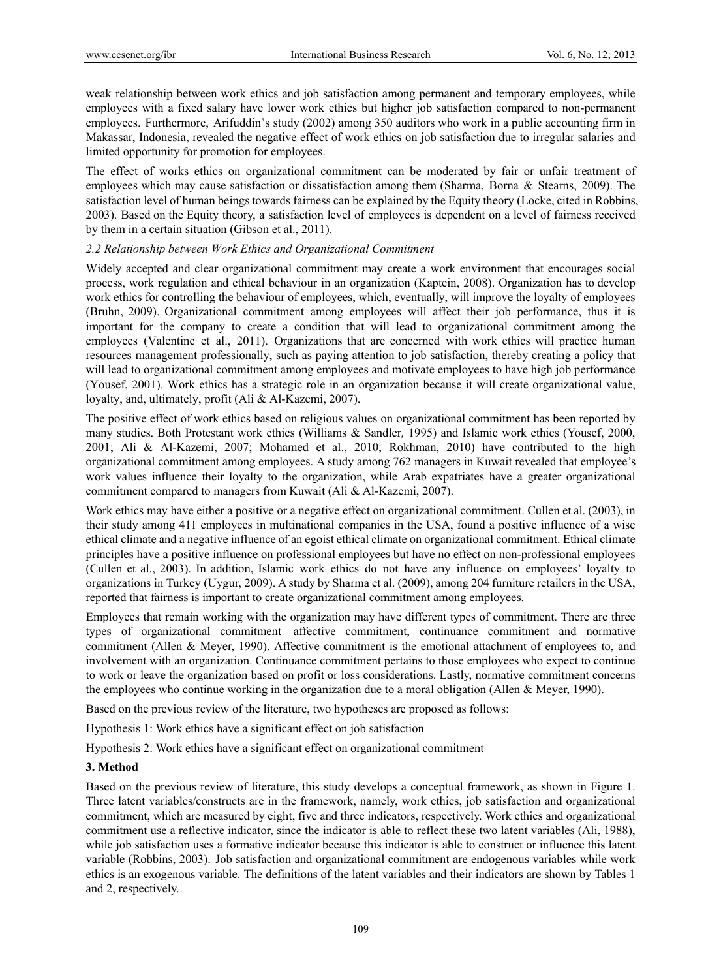weak relationship between work ethics and job satisfaction among permanent and temporary employees, while employees with a fixed salary have lower work ethics but higher job satisfaction compared to non-permanent employees. Furthermore, Arifuddin's study (2002) among 350 auditors who work in a public accounting firm in Makassar, Indonesia, revealed the negative effect of work ethics on job satisfaction due to irregular salaries and limited opportunity for promotion for employees.

The effect of works ethics on organizational commitment can be moderated by fair or unfair treatment of employees which may cause satisfaction or dissatisfaction among them (Sharma, Borna & Stearns, 2009). The satisfaction level of human beings towards fairness can be explained by the Equity theory (Locke, cited in Robbins, 2003). Based on the Equity theory, a satisfaction level of employees is dependent on a level of fairness received by them in a certain situation (Gibson et al., 2011).

# *2.2 Relationship between Work Ethics and Organizational Commitment*

Widely accepted and clear organizational commitment may create a work environment that encourages social process, work regulation and ethical behaviour in an organization (Kaptein, 2008). Organization has to develop work ethics for controlling the behaviour of employees, which, eventually, will improve the loyalty of employees (Bruhn, 2009). Organizational commitment among employees will affect their job performance, thus it is important for the company to create a condition that will lead to organizational commitment among the employees (Valentine et al., 2011). Organizations that are concerned with work ethics will practice human resources management professionally, such as paying attention to job satisfaction, thereby creating a policy that will lead to organizational commitment among employees and motivate employees to have high job performance (Yousef, 2001). Work ethics has a strategic role in an organization because it will create organizational value, loyalty, and, ultimately, profit (Ali & Al-Kazemi, 2007).

The positive effect of work ethics based on religious values on organizational commitment has been reported by many studies. Both Protestant work ethics (Williams & Sandler*,* 1995) and Islamic work ethics (Yousef, 2000, 2001; Ali & Al-Kazemi, 2007; Mohamed et al., 2010; Rokhman, 2010) have contributed to the high organizational commitment among employees. A study among 762 managers in Kuwait revealed that employee's work values influence their loyalty to the organization, while Arab expatriates have a greater organizational commitment compared to managers from Kuwait (Ali & Al-Kazemi, 2007).

Work ethics may have either a positive or a negative effect on organizational commitment. Cullen et al. (2003), in their study among 411 employees in multinational companies in the USA, found a positive influence of a wise ethical climate and a negative influence of an egoist ethical climate on organizational commitment. Ethical climate principles have a positive influence on professional employees but have no effect on non-professional employees (Cullen et al., 2003). In addition, Islamic work ethics do not have any influence on employees' loyalty to organizations in Turkey (Uygur, 2009). A study by Sharma et al. (2009), among 204 furniture retailers in the USA, reported that fairness is important to create organizational commitment among employees.

Employees that remain working with the organization may have different types of commitment. There are three types of organizational commitment—affective commitment, continuance commitment and normative commitment (Allen & Meyer, 1990). Affective commitment is the emotional attachment of employees to, and involvement with an organization. Continuance commitment pertains to those employees who expect to continue to work or leave the organization based on profit or loss considerations. Lastly, normative commitment concerns the employees who continue working in the organization due to a moral obligation (Allen & Meyer, 1990).

Based on the previous review of the literature, two hypotheses are proposed as follows:

Hypothesis 1: Work ethics have a significant effect on job satisfaction

Hypothesis 2: Work ethics have a significant effect on organizational commitment

# **3. Method**

Based on the previous review of literature, this study develops a conceptual framework, as shown in Figure 1. Three latent variables/constructs are in the framework, namely, work ethics, job satisfaction and organizational commitment, which are measured by eight, five and three indicators, respectively. Work ethics and organizational commitment use a reflective indicator, since the indicator is able to reflect these two latent variables (Ali, 1988), while job satisfaction uses a formative indicator because this indicator is able to construct or influence this latent variable (Robbins, 2003). Job satisfaction and organizational commitment are endogenous variables while work ethics is an exogenous variable. The definitions of the latent variables and their indicators are shown by Tables 1 and 2, respectively.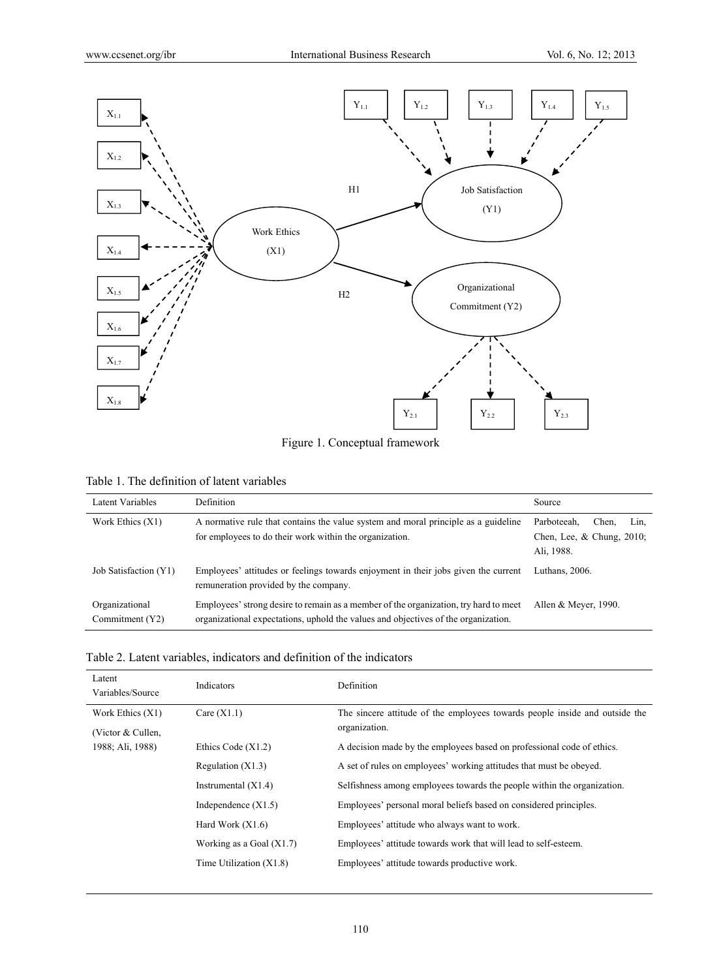

Figure 1. Conceptual framework

| Table 1. The definition of latent variables |  |  |  |  |  |
|---------------------------------------------|--|--|--|--|--|
|---------------------------------------------|--|--|--|--|--|

| Latent Variables                  | <b>Definition</b>                                                                                                                                                          | Source                                                                     |
|-----------------------------------|----------------------------------------------------------------------------------------------------------------------------------------------------------------------------|----------------------------------------------------------------------------|
| Work Ethics $(X1)$                | A normative rule that contains the value system and moral principle as a guideline<br>for employees to do their work within the organization.                              | Parboteeah.<br>Chen.<br>Lin.<br>Chen, Lee, $\&$ Chung, 2010;<br>Ali, 1988. |
| Job Satisfaction (Y1)             | Employees' attitudes or feelings towards enjoyment in their jobs given the current<br>remuneration provided by the company.                                                | Luthans, 2006.                                                             |
| Organizational<br>Commitment (Y2) | Employees' strong desire to remain as a member of the organization, try hard to meet<br>organizational expectations, uphold the values and objectives of the organization. | Allen & Meyer, 1990.                                                       |

| Table 2. Latent variables, indicators and definition of the indicators |  |  |  |
|------------------------------------------------------------------------|--|--|--|
|------------------------------------------------------------------------|--|--|--|

| Latent<br>Variables/Source | Indicators                 | Definition                                                                  |
|----------------------------|----------------------------|-----------------------------------------------------------------------------|
| Work Ethics (X1)           | Care $(X1.1)$              | The sincere attitude of the employees towards people inside and outside the |
| (Victor $&$ Cullen,        |                            | organization.                                                               |
| 1988; Ali, 1988)           | Ethics Code $(X1.2)$       | A decision made by the employees based on professional code of ethics.      |
|                            | Regulation $(X1.3)$        | A set of rules on employees' working attitudes that must be obeyed.         |
|                            | Instrumental $(X1.4)$      | Selfishness among employees towards the people within the organization.     |
|                            | Independence $(X1.5)$      | Employees' personal moral beliefs based on considered principles.           |
|                            | Hard Work $(X1.6)$         | Employees' attitude who always want to work.                                |
|                            | Working as a Goal $(X1.7)$ | Employees' attitude towards work that will lead to self-esteem.             |
|                            | Time Utilization $(X1.8)$  | Employees' attitude towards productive work.                                |
|                            |                            |                                                                             |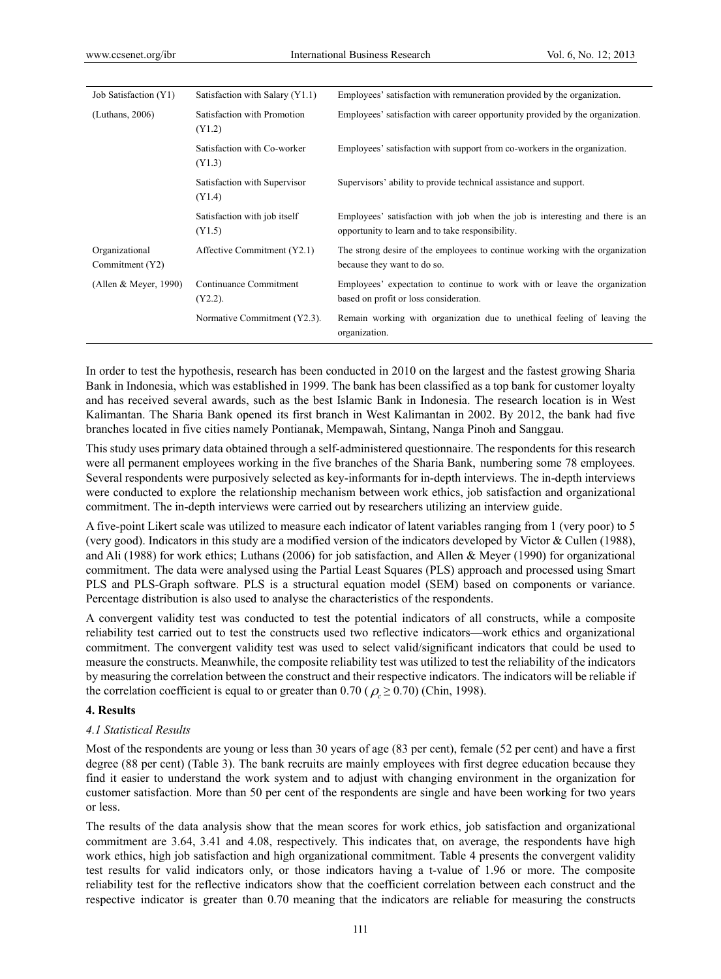| Job Satisfaction (Y1)             | Satisfaction with Salary (Y1.1)        | Employees' satisfaction with remuneration provided by the organization.                                                          |
|-----------------------------------|----------------------------------------|----------------------------------------------------------------------------------------------------------------------------------|
| (Luthans, 2006)                   | Satisfaction with Promotion<br>(Y1.2)  | Employees' satisfaction with career opportunity provided by the organization.                                                    |
|                                   | Satisfaction with Co-worker<br>(Y1.3)  | Employees' satisfaction with support from co-workers in the organization.                                                        |
|                                   | Satisfaction with Supervisor<br>(Y1.4) | Supervisors' ability to provide technical assistance and support.                                                                |
|                                   | Satisfaction with job itself<br>(Y1.5) | Employees' satisfaction with job when the job is interesting and there is an<br>opportunity to learn and to take responsibility. |
| Organizational<br>Commitment (Y2) | Affective Commitment (Y2.1)            | The strong desire of the employees to continue working with the organization<br>because they want to do so.                      |
| (Allen & Meyer, 1990)             | Continuance Commitment<br>$(Y2.2)$ .   | Employees' expectation to continue to work with or leave the organization<br>based on profit or loss consideration.              |
|                                   | Normative Commitment (Y2.3).           | Remain working with organization due to unethical feeling of leaving the<br>organization.                                        |

In order to test the hypothesis, research has been conducted in 2010 on the largest and the fastest growing Sharia Bank in Indonesia, which was established in 1999. The bank has been classified as a top bank for customer loyalty and has received several awards, such as the best Islamic Bank in Indonesia. The research location is in West Kalimantan. The Sharia Bank opened its first branch in West Kalimantan in 2002. By 2012, the bank had five branches located in five cities namely Pontianak, Mempawah, Sintang, Nanga Pinoh and Sanggau.

This study uses primary data obtained through a self-administered questionnaire. The respondents for this research were all permanent employees working in the five branches of the Sharia Bank, numbering some 78 employees. Several respondents were purposively selected as key-informants for in-depth interviews. The in-depth interviews were conducted to explore the relationship mechanism between work ethics, job satisfaction and organizational commitment. The in-depth interviews were carried out by researchers utilizing an interview guide.

A five-point Likert scale was utilized to measure each indicator of latent variables ranging from 1 (very poor) to 5 (very good). Indicators in this study are a modified version of the indicators developed by Victor & Cullen (1988), and Ali (1988) for work ethics; Luthans (2006) for job satisfaction, and Allen & Meyer (1990) for organizational commitment. The data were analysed using the Partial Least Squares (PLS) approach and processed using Smart PLS and PLS-Graph software. PLS is a structural equation model (SEM) based on components or variance. Percentage distribution is also used to analyse the characteristics of the respondents.

A convergent validity test was conducted to test the potential indicators of all constructs, while a composite reliability test carried out to test the constructs used two reflective indicators—work ethics and organizational commitment. The convergent validity test was used to select valid/significant indicators that could be used to measure the constructs. Meanwhile, the composite reliability test was utilized to test the reliability of the indicators by measuring the correlation between the construct and their respective indicators. The indicators will be reliable if the correlation coefficient is equal to or greater than  $0.70$  ( $\rho \ge 0.70$ ) (Chin, 1998).

# **4. Results**

#### *4.1 Statistical Results*

Most of the respondents are young or less than 30 years of age (83 per cent), female (52 per cent) and have a first degree (88 per cent) (Table 3). The bank recruits are mainly employees with first degree education because they find it easier to understand the work system and to adjust with changing environment in the organization for customer satisfaction. More than 50 per cent of the respondents are single and have been working for two years or less.

The results of the data analysis show that the mean scores for work ethics, job satisfaction and organizational commitment are 3.64, 3.41 and 4.08, respectively. This indicates that, on average, the respondents have high work ethics, high job satisfaction and high organizational commitment. Table 4 presents the convergent validity test results for valid indicators only, or those indicators having a t-value of 1.96 or more. The composite reliability test for the reflective indicators show that the coefficient correlation between each construct and the respective indicator is greater than 0.70 meaning that the indicators are reliable for measuring the constructs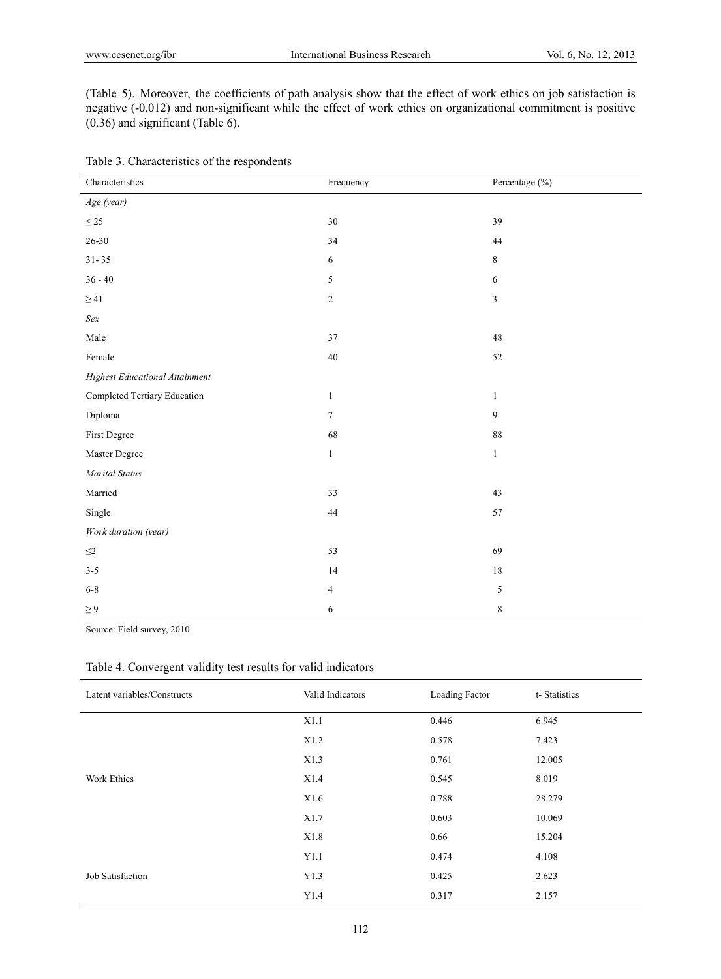(Table 5). Moreover, the coefficients of path analysis show that the effect of work ethics on job satisfaction is negative (-0.012) and non-significant while the effect of work ethics on organizational commitment is positive (0.36) and significant (Table 6).

| Characteristics                | Frequency       | Percentage (%) |
|--------------------------------|-----------------|----------------|
| Age (year)                     |                 |                |
| $\leq 25$                      | 30              | 39             |
| $26 - 30$                      | 34              | $44\,$         |
| $31 - 35$                      | 6               | $\,8\,$        |
| $36 - 40$                      | 5               | $\sqrt{6}$     |
| $\geq 41$                      | $\overline{c}$  | $\mathfrak{Z}$ |
| Sex                            |                 |                |
| Male                           | 37              | $48\,$         |
| Female                         | 40              | 52             |
| Highest Educational Attainment |                 |                |
| Completed Tertiary Education   | $\mathbf{1}$    | $\mathbf{1}$   |
| Diploma                        | $7\overline{ }$ | $\overline{9}$ |
| First Degree                   | 68              | $\bf 88$       |
| Master Degree                  | $\mathbf{1}$    | $\mathbf{1}$   |
| <b>Marital Status</b>          |                 |                |
| Married                        | 33              | 43             |
| Single                         | $44\,$          | 57             |
| Work duration (year)           |                 |                |
| $\leq2$                        | 53              | 69             |
| $3 - 5$                        | $14$            | $18\,$         |
| $6 - 8$                        | $\overline{4}$  | 5              |
| $\geq 9$                       | 6               | $\,$ $\,$      |

Table 3. Characteristics of the respondents

Source: Field survey, 2010.

| Latent variables/Constructs | Valid Indicators | Loading Factor | t-Statistics |
|-----------------------------|------------------|----------------|--------------|
|                             | X1.1             | 0.446          | 6.945        |
|                             | X1.2             | 0.578          | 7.423        |
|                             | X1.3             | 0.761          | 12.005       |
| Work Ethics                 | X1.4             | 0.545          | 8.019        |
|                             | X1.6             | 0.788          | 28.279       |
|                             | X1.7             | 0.603          | 10.069       |
|                             | X1.8             | 0.66           | 15.204       |
|                             | Y1.1             | 0.474          | 4.108        |
| Job Satisfaction            | Y1.3             | 0.425          | 2.623        |
|                             | Y1.4             | 0.317          | 2.157        |

# Table 4. Convergent validity test results for valid indicators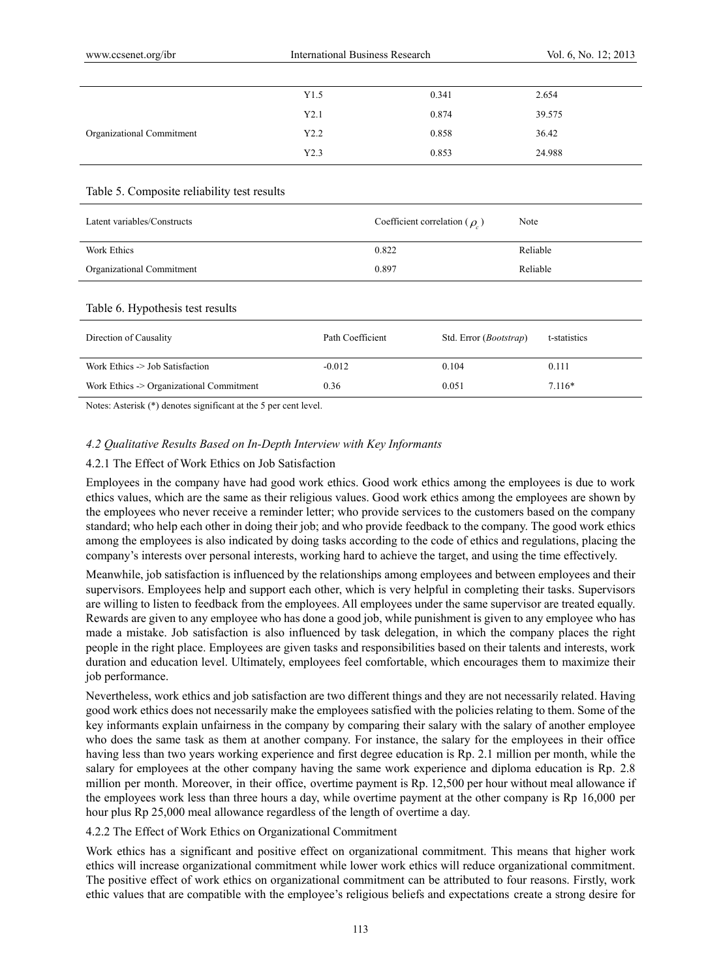|                                             | Y1.5             | 0.341                              | 2.654        |
|---------------------------------------------|------------------|------------------------------------|--------------|
|                                             | Y2.1             | 0.874                              | 39.575       |
| Organizational Commitment                   | Y2.2             | 0.858                              | 36.42        |
|                                             | Y2.3             | 0.853                              | 24.988       |
|                                             |                  |                                    |              |
| Table 5. Composite reliability test results |                  |                                    |              |
| Latent variables/Constructs                 |                  | Coefficient correlation ( $\rho$ ) | Note         |
| Work Ethics                                 | 0.822            |                                    | Reliable     |
| Organizational Commitment                   | 0.897            |                                    | Reliable     |
|                                             |                  |                                    |              |
| Table 6. Hypothesis test results            |                  |                                    |              |
| Direction of Causality                      | Path Coefficient | Std. Error (Bootstrap)             | t-statistics |
| Work Ethics -> Job Satisfaction             | $-0.012$         | 0.104                              | 0.111        |
| Work Ethics -> Organizational Commitment    | 0.36             | 0.051                              | $7.116*$     |

Notes: Asterisk (\*) denotes significant at the 5 per cent level.

#### *4.2 Qualitative Results Based on In-Depth Interview with Key Informants*

# 4.2.1 The Effect of Work Ethics on Job Satisfaction

Employees in the company have had good work ethics. Good work ethics among the employees is due to work ethics values, which are the same as their religious values. Good work ethics among the employees are shown by the employees who never receive a reminder letter; who provide services to the customers based on the company standard; who help each other in doing their job; and who provide feedback to the company. The good work ethics among the employees is also indicated by doing tasks according to the code of ethics and regulations, placing the company's interests over personal interests, working hard to achieve the target, and using the time effectively.

Meanwhile, job satisfaction is influenced by the relationships among employees and between employees and their supervisors. Employees help and support each other, which is very helpful in completing their tasks. Supervisors are willing to listen to feedback from the employees. All employees under the same supervisor are treated equally. Rewards are given to any employee who has done a good job, while punishment is given to any employee who has made a mistake. Job satisfaction is also influenced by task delegation, in which the company places the right people in the right place. Employees are given tasks and responsibilities based on their talents and interests, work duration and education level. Ultimately, employees feel comfortable, which encourages them to maximize their job performance.

Nevertheless, work ethics and job satisfaction are two different things and they are not necessarily related. Having good work ethics does not necessarily make the employees satisfied with the policies relating to them. Some of the key informants explain unfairness in the company by comparing their salary with the salary of another employee who does the same task as them at another company. For instance, the salary for the employees in their office having less than two years working experience and first degree education is Rp. 2.1 million per month, while the salary for employees at the other company having the same work experience and diploma education is Rp. 2.8 million per month. Moreover, in their office, overtime payment is Rp. 12,500 per hour without meal allowance if the employees work less than three hours a day, while overtime payment at the other company is Rp 16,000 per hour plus Rp 25,000 meal allowance regardless of the length of overtime a day.

#### 4.2.2 The Effect of Work Ethics on Organizational Commitment

Work ethics has a significant and positive effect on organizational commitment. This means that higher work ethics will increase organizational commitment while lower work ethics will reduce organizational commitment. The positive effect of work ethics on organizational commitment can be attributed to four reasons. Firstly, work ethic values that are compatible with the employee's religious beliefs and expectations create a strong desire for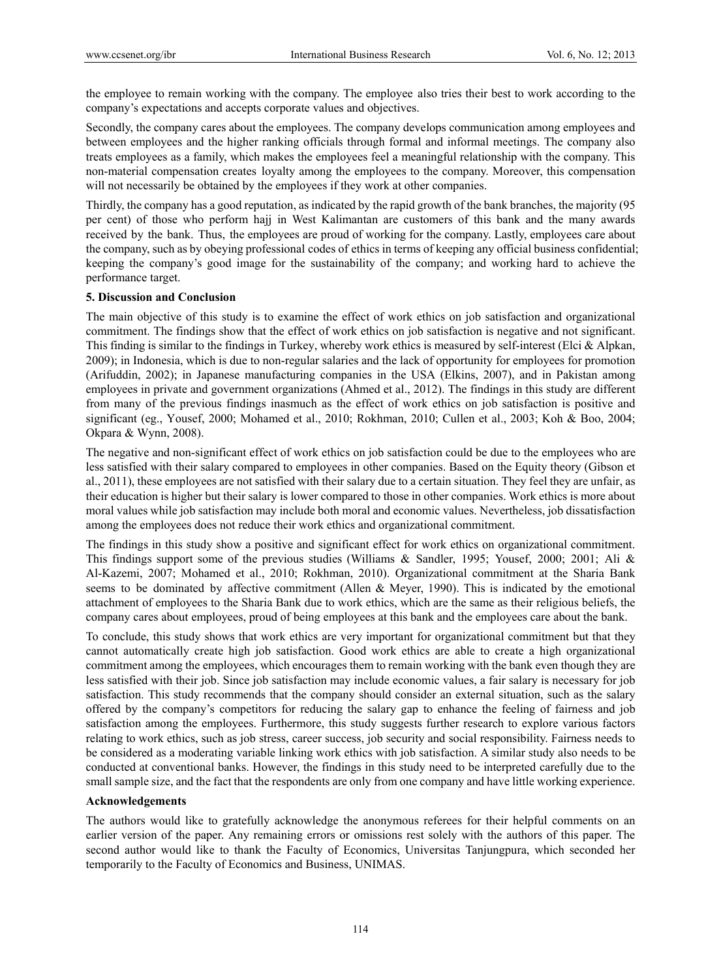the employee to remain working with the company. The employee also tries their best to work according to the company's expectations and accepts corporate values and objectives.

Secondly, the company cares about the employees. The company develops communication among employees and between employees and the higher ranking officials through formal and informal meetings. The company also treats employees as a family, which makes the employees feel a meaningful relationship with the company. This non-material compensation creates loyalty among the employees to the company. Moreover, this compensation will not necessarily be obtained by the employees if they work at other companies.

Thirdly, the company has a good reputation, as indicated by the rapid growth of the bank branches, the majority (95 per cent) of those who perform hajj in West Kalimantan are customers of this bank and the many awards received by the bank. Thus, the employees are proud of working for the company. Lastly, employees care about the company, such as by obeying professional codes of ethics in terms of keeping any official business confidential; keeping the company's good image for the sustainability of the company; and working hard to achieve the performance target.

# **5. Discussion and Conclusion**

The main objective of this study is to examine the effect of work ethics on job satisfaction and organizational commitment. The findings show that the effect of work ethics on job satisfaction is negative and not significant. This finding is similar to the findings in Turkey, whereby work ethics is measured by self-interest (Elci & Alpkan, 2009); in Indonesia, which is due to non-regular salaries and the lack of opportunity for employees for promotion (Arifuddin, 2002); in Japanese manufacturing companies in the USA (Elkins, 2007), and in Pakistan among employees in private and government organizations (Ahmed et al., 2012). The findings in this study are different from many of the previous findings inasmuch as the effect of work ethics on job satisfaction is positive and significant (eg., Yousef, 2000; Mohamed et al., 2010; Rokhman, 2010; Cullen et al., 2003; Koh & Boo, 2004; Okpara & Wynn, 2008).

The negative and non-significant effect of work ethics on job satisfaction could be due to the employees who are less satisfied with their salary compared to employees in other companies. Based on the Equity theory (Gibson et al., 2011), these employees are not satisfied with their salary due to a certain situation. They feel they are unfair, as their education is higher but their salary is lower compared to those in other companies. Work ethics is more about moral values while job satisfaction may include both moral and economic values. Nevertheless, job dissatisfaction among the employees does not reduce their work ethics and organizational commitment.

The findings in this study show a positive and significant effect for work ethics on organizational commitment. This findings support some of the previous studies (Williams & Sandler, 1995; Yousef, 2000; 2001; Ali & Al-Kazemi, 2007; Mohamed et al., 2010; Rokhman, 2010). Organizational commitment at the Sharia Bank seems to be dominated by affective commitment (Allen & Meyer, 1990). This is indicated by the emotional attachment of employees to the Sharia Bank due to work ethics, which are the same as their religious beliefs, the company cares about employees, proud of being employees at this bank and the employees care about the bank.

To conclude, this study shows that work ethics are very important for organizational commitment but that they cannot automatically create high job satisfaction. Good work ethics are able to create a high organizational commitment among the employees, which encourages them to remain working with the bank even though they are less satisfied with their job. Since job satisfaction may include economic values, a fair salary is necessary for job satisfaction. This study recommends that the company should consider an external situation, such as the salary offered by the company's competitors for reducing the salary gap to enhance the feeling of fairness and job satisfaction among the employees. Furthermore, this study suggests further research to explore various factors relating to work ethics, such as job stress, career success, job security and social responsibility. Fairness needs to be considered as a moderating variable linking work ethics with job satisfaction. A similar study also needs to be conducted at conventional banks. However, the findings in this study need to be interpreted carefully due to the small sample size, and the fact that the respondents are only from one company and have little working experience.

# **Acknowledgements**

The authors would like to gratefully acknowledge the anonymous referees for their helpful comments on an earlier version of the paper. Any remaining errors or omissions rest solely with the authors of this paper. The second author would like to thank the Faculty of Economics, Universitas Tanjungpura, which seconded her temporarily to the Faculty of Economics and Business, UNIMAS.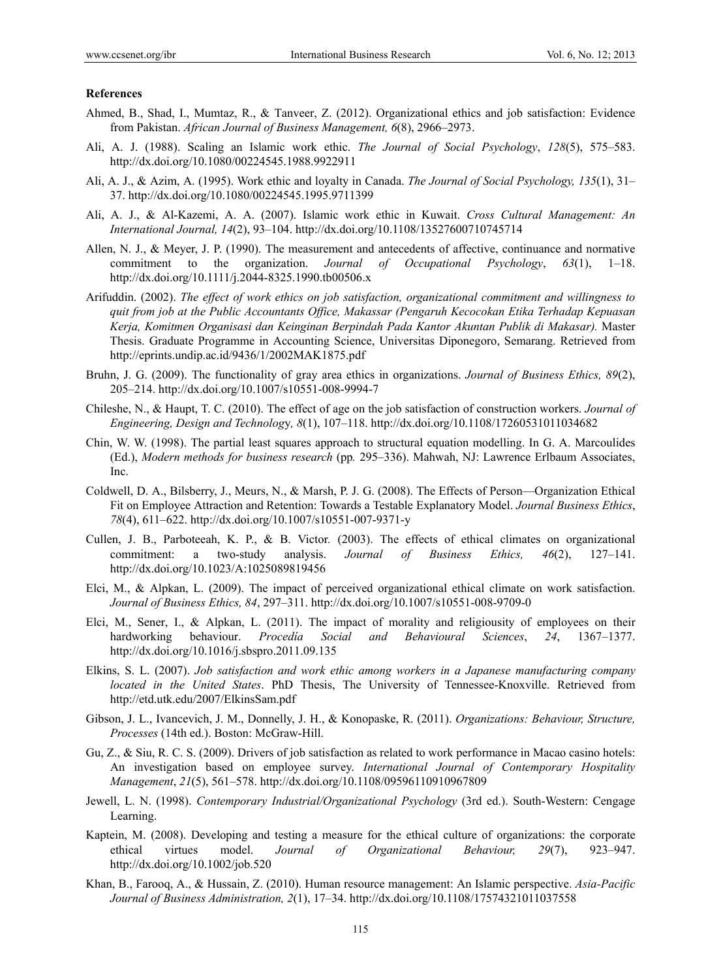#### **References**

- Ahmed, B., Shad, I., Mumtaz, R., & Tanveer, Z. (2012). Organizational ethics and job satisfaction: Evidence from Pakistan. *African Journal of Business Management, 6*(8), 2966–2973.
- Ali, A. J. (1988). Scaling an Islamic work ethic. *The Journal of Social Psychology*, *128*(5), 575–583. http://dx.doi.org/10.1080/00224545.1988.9922911
- Ali, A. J., & Azim, A. (1995). Work ethic and loyalty in Canada. *The Journal of Social Psychology, 135*(1), 31– 37. http://dx.doi.org/10.1080/00224545.1995.9711399
- Ali, A. J., & Al-Kazemi, A. A. (2007). Islamic work ethic in Kuwait. *Cross Cultural Management: An International Journal, 14*(2), 93–104. http://dx.doi.org/10.1108/13527600710745714
- Allen, N. J., & Meyer, J. P. (1990). The measurement and antecedents of affective, continuance and normative commitment to the organization. *Journal of Occupational Psychology*, *63*(1), 1–18. http://dx.doi.org/10.1111/j.2044-8325.1990.tb00506.x
- Arifuddin. (2002). *The effect of work ethics on job satisfaction, organizational commitment and willingness to quit from job at the Public Accountants Office, Makassar (Pengaruh Kecocokan Etika Terhadap Kepuasan Kerja, Komitmen Organisasi dan Keinginan Berpindah Pada Kantor Akuntan Publik di Makasar).* Master Thesis. Graduate Programme in Accounting Science, Universitas Diponegoro, Semarang. Retrieved from http://eprints.undip.ac.id/9436/1/2002MAK1875.pdf
- Bruhn, J. G. (2009). The functionality of gray area ethics in organizations. *Journal of Business Ethics, 89*(2), 205–214. http://dx.doi.org/10.1007/s10551-008-9994-7
- Chileshe, N., & Haupt, T. C. (2010). The effect of age on the job satisfaction of construction workers. *Journal of Engineering, Design and Technolog*y*, 8*(1), 107–118. http://dx.doi.org/10.1108/17260531011034682
- Chin, W. W. (1998). The partial least squares approach to structural equation modelling. In G. A. Marcoulides (Ed.), *Modern methods for business research* (pp*.* 295–336). Mahwah, NJ: Lawrence Erlbaum Associates, Inc.
- Coldwell, D. A., Bilsberry, J., Meurs, N., & Marsh, P. J. G. (2008). The Effects of Person—Organization Ethical Fit on Employee Attraction and Retention: Towards a Testable Explanatory Model. *Journal Business Ethics*, *78*(4), 611–622. http://dx.doi.org/10.1007/s10551-007-9371-y
- Cullen, J. B., Parboteeah, K. P., & B. Victor*.* (2003). The effects of ethical climates on organizational commitment: a two-study analysis. *Journal of Business Ethics, 46*(2), 127–141. http://dx.doi.org/10.1023/A:1025089819456
- Elci, M., & Alpkan, L. (2009). The impact of perceived organizational ethical climate on work satisfaction. *Journal of Business Ethics, 84*, 297–311. http://dx.doi.org/10.1007/s10551-008-9709-0
- Elci, M., Sener, I., & Alpkan, L. (2011). The impact of morality and religiousity of employees on their hardworking behaviour. *Procedía Social and Behavioural Sciences*, *24*, 1367–1377. http://dx.doi.org/10.1016/j.sbspro.2011.09.135
- Elkins, S. L. (2007). *Job satisfaction and work ethic among workers in a Japanese manufacturing company located in the United States*. PhD Thesis, The University of Tennessee-Knoxville. Retrieved from http://etd.utk.edu/2007/ElkinsSam.pdf
- Gibson, J. L., Ivancevich, J. M., Donnelly, J. H., & Konopaske, R. (2011). *Organizations: Behaviour, Structure, Processes* (14th ed.). Boston: McGraw-Hill.
- Gu, Z., & Siu, R. C. S. (2009). Drivers of job satisfaction as related to work performance in Macao casino hotels: An investigation based on employee survey. *International Journal of Contemporary Hospitality Management*, *21*(5), 561–578. http://dx.doi.org/10.1108/09596110910967809
- Jewell, L. N. (1998). *Contemporary Industrial/Organizational Psychology* (3rd ed.). South-Western: Cengage Learning.
- Kaptein, M. (2008). Developing and testing a measure for the ethical culture of organizations: the corporate ethical virtues model. *Journal of Organizational Behaviour, 29*(7), 923–947. http://dx.doi.org/10.1002/job.520
- Khan, B., Farooq, A., & Hussain, Z. (2010). Human resource management: An Islamic perspective. *Asia-Pacific Journal of Business Administration, 2*(1), 17–34. http://dx.doi.org/10.1108/17574321011037558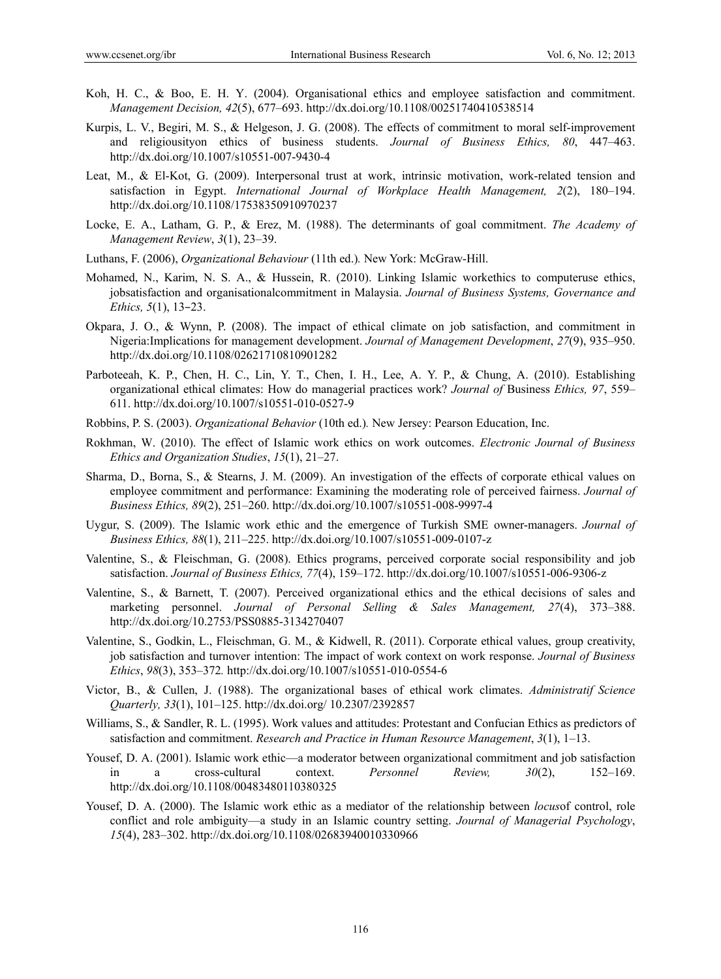- Koh, H. C., & Boo, E. H. Y. (2004). Organisational ethics and employee satisfaction and commitment. *Management Decision, 42*(5), 677–693. http://dx.doi.org/10.1108/00251740410538514
- Kurpis, L. V., Begiri, M. S., & Helgeson, J. G. (2008). The effects of commitment to moral self-improvement and religiousityon ethics of business students. *Journal of Business Ethics, 80*, 447–463. http://dx.doi.org/10.1007/s10551-007-9430-4
- Leat, M., & El-Kot, G. (2009). Interpersonal trust at work, intrinsic motivation, work-related tension and satisfaction in Egypt. *International Journal of Workplace Health Management, 2*(2), 180–194. http://dx.doi.org/10.1108/17538350910970237
- Locke, E. A., Latham, G. P., & Erez, M. (1988). The determinants of goal commitment. *The Academy of Management Review*, *3*(1), 23–39.
- Luthans, F. (2006), *Organizational Behaviour* (11th ed.)*.* New York: McGraw-Hill.
- Mohamed, N., Karim, N. S. A., & Hussein, R. (2010). Linking Islamic workethics to computeruse ethics, jobsatisfaction and organisationalcommitment in Malaysia. *Journal of Business Systems, Governance and Ethics, 5*(1), 13–23.
- Okpara, J. O., & Wynn, P. (2008). The impact of ethical climate on job satisfaction, and commitment in Nigeria:Implications for management development. *Journal of Management Development*, *27*(9), 935–950. http://dx.doi.org/10.1108/02621710810901282
- Parboteeah, K. P., Chen, H. C., Lin, Y. T., Chen, I. H., Lee, A. Y. P., & Chung, A. (2010). Establishing organizational ethical climates: How do managerial practices work? *Journal of* Business *Ethics, 97*, 559– 611. http://dx.doi.org/10.1007/s10551-010-0527-9
- Robbins, P. S. (2003). *Organizational Behavior* (10th ed.)*.* New Jersey: Pearson Education, Inc.
- Rokhman, W. (2010). The effect of Islamic work ethics on work outcomes. *Electronic Journal of Business Ethics and Organization Studies*, *15*(1), 21–27.
- Sharma, D., Borna, S., & Stearns, J. M. (2009). An investigation of the effects of corporate ethical values on employee commitment and performance: Examining the moderating role of perceived fairness. *Journal of Business Ethics, 89*(2), 251–260. http://dx.doi.org/10.1007/s10551-008-9997-4
- Uygur, S. (2009). The Islamic work ethic and the emergence of Turkish SME owner-managers. *Journal of Business Ethics, 88*(1), 211–225. http://dx.doi.org/10.1007/s10551-009-0107-z
- Valentine, S., & Fleischman, G. (2008). Ethics programs, perceived corporate social responsibility and job satisfaction. *Journal of Business Ethics, 77*(4), 159–172. http://dx.doi.org/10.1007/s10551-006-9306-z
- Valentine, S., & Barnett, T. (2007). Perceived organizational ethics and the ethical decisions of sales and marketing personnel. *Journal of Personal Selling & Sales Management, 27*(4), 373–388. http://dx.doi.org/10.2753/PSS0885-3134270407
- Valentine, S., Godkin, L., Fleischman, G. M., & Kidwell, R. (2011). Corporate ethical values, group creativity, job satisfaction and turnover intention: The impact of work context on work response. *Journal of Business Ethics*, *98*(3), 353–372*.* http://dx.doi.org/10.1007/s10551-010-0554-6
- Victor, B., & Cullen, J. (1988). The organizational bases of ethical work climates. *Administratif Science Quarterly, 33*(1), 101–125. http://dx.doi.org/ 10.2307/2392857
- Williams, S., & Sandler, R. L. (1995). Work values and attitudes: Protestant and Confucian Ethics as predictors of satisfaction and commitment. *Research and Practice in Human Resource Management*, *3*(1), 1–13.
- Yousef, D. A. (2001). Islamic work ethic—a moderator between organizational commitment and job satisfaction in a cross-cultural context. *Personnel Review, 30*(2), 152–169. http://dx.doi.org/10.1108/00483480110380325
- Yousef, D. A. (2000). The Islamic work ethic as a mediator of the relationship between *locus*of control, role conflict and role ambiguity—a study in an Islamic country setting. *Journal of Managerial Psychology*, *15*(4), 283–302. http://dx.doi.org/10.1108/02683940010330966